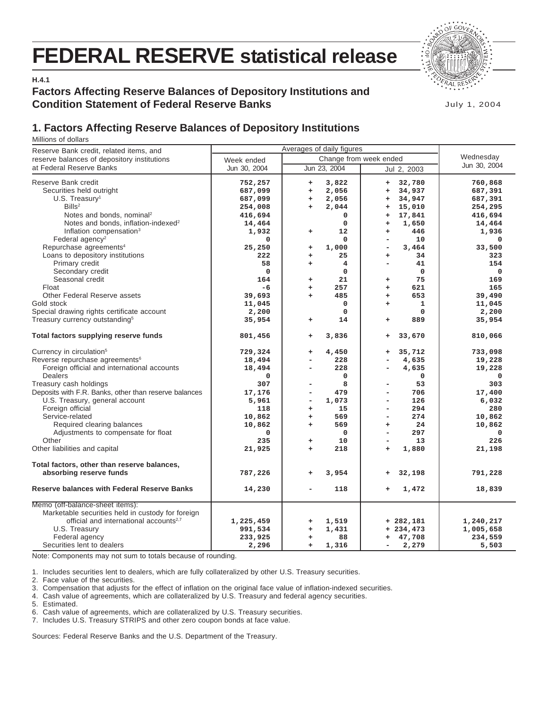# **FEDERAL RESERVE statistical release**



**H.4.1**

## **Factors Affecting Reserve Balances of Depository Institutions and Condition Statement of Federal Reserve Banks**

July 1, 2004

## **1. Factors Affecting Reserve Balances of Depository Institutions**

Millions of dollars

| Reserve Bank credit, related items, and                                                                                                                                                                                                                                                                                                                                                                                                                                |                                                                                                             |                                                                                                                                                                                                    |                                                                                                                                                                                                                     |                                                                                                                    |
|------------------------------------------------------------------------------------------------------------------------------------------------------------------------------------------------------------------------------------------------------------------------------------------------------------------------------------------------------------------------------------------------------------------------------------------------------------------------|-------------------------------------------------------------------------------------------------------------|----------------------------------------------------------------------------------------------------------------------------------------------------------------------------------------------------|---------------------------------------------------------------------------------------------------------------------------------------------------------------------------------------------------------------------|--------------------------------------------------------------------------------------------------------------------|
| reserve balances of depository institutions                                                                                                                                                                                                                                                                                                                                                                                                                            | Week ended                                                                                                  | Wednesday                                                                                                                                                                                          |                                                                                                                                                                                                                     |                                                                                                                    |
| at Federal Reserve Banks                                                                                                                                                                                                                                                                                                                                                                                                                                               | Jun 30, 2004                                                                                                | Jun 23, 2004                                                                                                                                                                                       | Jul 2, 2003                                                                                                                                                                                                         | Jun 30, 2004                                                                                                       |
| Reserve Bank credit<br>Securities held outright<br>$U.S.$ Treasury <sup>1</sup><br>Bills <sup>2</sup>                                                                                                                                                                                                                                                                                                                                                                  | 752,257<br>687,099<br>687,099<br>254,008                                                                    | 3,822<br>$\ddot{}$<br>2,056<br>÷<br>2,056<br>$\ddot{}$<br>2,044<br>$\ddot{}$                                                                                                                       | 32,780<br>$+$<br>34,937<br>$\ddot{}$<br>34,947<br>$\ddot{}$<br>15,010<br>$\bf +$                                                                                                                                    | 760,868<br>687,391<br>687,391<br>254,295                                                                           |
| Notes and bonds, nominal <sup>2</sup><br>Notes and bonds, inflation-indexed <sup>2</sup><br>Inflation compensation <sup>3</sup><br>Federal agency <sup>2</sup><br>Repurchase agreements <sup>4</sup>                                                                                                                                                                                                                                                                   | 416,694<br>14,464<br>1,932<br>0<br>25,250                                                                   | 0<br>$\mathbf 0$<br>12<br>$\ddot{}$<br>$\Omega$<br>1,000<br>+                                                                                                                                      | 17,841<br>$\ddot{}$<br>1,650<br>$\ddot{}$<br>446<br>$\ddot{}$<br>10<br>-<br>3,464<br>۰                                                                                                                              | 416,694<br>14,464<br>1,936<br>$\Omega$<br>33,500                                                                   |
| Loans to depository institutions<br>Primary credit<br>Secondary credit<br>Seasonal credit<br>Float<br>Other Federal Reserve assets<br>Gold stock                                                                                                                                                                                                                                                                                                                       | 222<br>58<br>$\mathbf 0$<br>164<br>$-6$<br>39,693<br>11,045                                                 | 25<br>$\ddot{}$<br>$\overline{4}$<br>÷<br>$\mathbf 0$<br>21<br>÷<br>257<br>÷<br>485<br>$\ddot{}$<br>$\mathbf 0$                                                                                    | 34<br>$\ddot{}$<br>41<br>-<br>0<br>75<br>÷<br>621<br>$\ddot{}$<br>653<br>$\ddot{}$<br>1<br>$\ddot{}$                                                                                                                | 323<br>154<br>$\mathbf 0$<br>169<br>165<br>39,490<br>11,045                                                        |
| Special drawing rights certificate account<br>Treasury currency outstanding <sup>5</sup>                                                                                                                                                                                                                                                                                                                                                                               | 2,200<br>35,954                                                                                             | $\Omega$<br>14<br>$\ddot{}$                                                                                                                                                                        | 0<br>889<br>$\ddot{}$                                                                                                                                                                                               | 2,200<br>35,954                                                                                                    |
| Total factors supplying reserve funds                                                                                                                                                                                                                                                                                                                                                                                                                                  | 801,456                                                                                                     | 3,836<br>$\ddot{}$                                                                                                                                                                                 | 33,670<br>$\begin{array}{c} + \end{array}$                                                                                                                                                                          | 810,066                                                                                                            |
| Currency in circulation <sup>5</sup><br>Reverse repurchase agreements <sup>6</sup><br>Foreign official and international accounts<br>Dealers<br>Treasury cash holdings<br>Deposits with F.R. Banks, other than reserve balances<br>U.S. Treasury, general account<br>Foreign official<br>Service-related<br>Required clearing balances<br>Adjustments to compensate for float<br>Other<br>Other liabilities and capital<br>Total factors, other than reserve balances, | 729,324<br>18,494<br>18,494<br>0<br>307<br>17,176<br>5,961<br>118<br>10,862<br>10,862<br>0<br>235<br>21,925 | 4,450<br>÷<br>228<br>228<br>$\overline{\phantom{0}}$<br>$\Omega$<br>8<br>۰<br>479<br>L,<br>1,073<br>-<br>15<br>$\ddot{}$<br>569<br>$\ddot{}$<br>569<br>÷<br>$\mathbf 0$<br>10<br>$+$<br>218<br>$+$ | 35,712<br>$\ddot{}$<br>4,635<br>4,635<br>-<br>0<br>53<br>706<br>$\overline{\phantom{0}}$<br>126<br>۰<br>294<br>-<br>274<br>-<br>24<br>$\ddot{}$<br>297<br>-<br>13<br>$\overline{\phantom{a}}$<br>1,880<br>$\ddot{}$ | 733,098<br>19,228<br>19,228<br>$\Omega$<br>303<br>17,400<br>6,032<br>280<br>10,862<br>10,862<br>0<br>226<br>21,198 |
| absorbing reserve funds                                                                                                                                                                                                                                                                                                                                                                                                                                                | 787,226                                                                                                     | 3,954<br>÷                                                                                                                                                                                         | 32,198<br>+                                                                                                                                                                                                         | 791,228                                                                                                            |
| <b>Reserve balances with Federal Reserve Banks</b>                                                                                                                                                                                                                                                                                                                                                                                                                     | 14,230                                                                                                      | 118                                                                                                                                                                                                | 1,472<br>$\ddot{}$                                                                                                                                                                                                  | 18,839                                                                                                             |
| Memo (off-balance-sheet items):<br>Marketable securities held in custody for foreign<br>official and international accounts <sup>2,7</sup><br>U.S. Treasury<br>Federal agency<br>Securities lent to dealers                                                                                                                                                                                                                                                            | 1,225,459<br>991,534<br>233,925<br>2,296                                                                    | 1,519<br>+<br>1,431<br>$\ddot{}$<br>88<br>÷<br>1,316<br>$+$                                                                                                                                        | $+282,181$<br>$+ 234, 473$<br>47,708<br>+<br>2,279<br>-                                                                                                                                                             | 1,240,217<br>1,005,658<br>234,559<br>5,503                                                                         |

Note: Components may not sum to totals because of rounding.

1. Includes securities lent to dealers, which are fully collateralized by other U.S. Treasury securities.

2. Face value of the securities.

3. Compensation that adjusts for the effect of inflation on the original face value of inflation-indexed securities.

4. Cash value of agreements, which are collateralized by U.S. Treasury and federal agency securities.

5. Estimated.

6. Cash value of agreements, which are collateralized by U.S. Treasury securities.

7. Includes U.S. Treasury STRIPS and other zero coupon bonds at face value.

Sources: Federal Reserve Banks and the U.S. Department of the Treasury.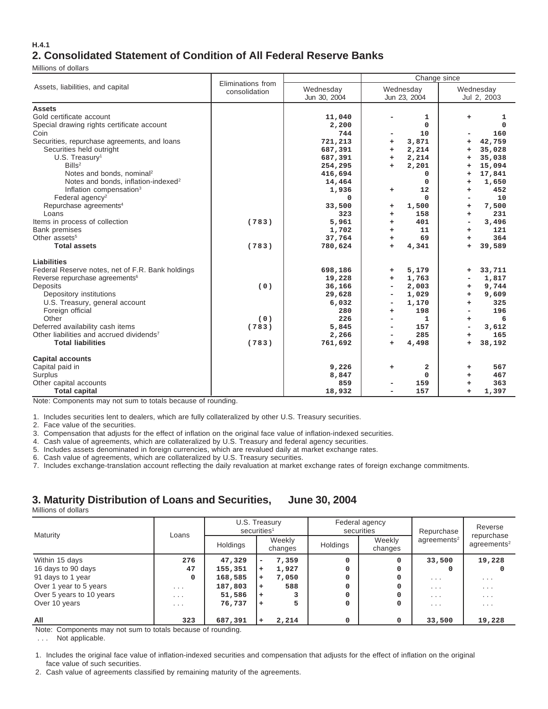#### **H.4.1 2. Consolidated Statement of Condition of All Federal Reserve Banks**

Millions of dollars

|                                                      |                                    |                           | Change since              |                          |  |  |  |  |  |
|------------------------------------------------------|------------------------------------|---------------------------|---------------------------|--------------------------|--|--|--|--|--|
| Assets, liabilities, and capital                     | Eliminations from<br>consolidation | Wednesday<br>Jun 30, 2004 | Wednesday<br>Jun 23, 2004 | Wednesday<br>Jul 2, 2003 |  |  |  |  |  |
| <b>Assets</b>                                        |                                    |                           |                           |                          |  |  |  |  |  |
| Gold certificate account                             |                                    | 11,040                    | 1                         | ÷<br>1                   |  |  |  |  |  |
| Special drawing rights certificate account           |                                    | 2,200                     | $\mathbf 0$               | 0                        |  |  |  |  |  |
| Coin                                                 |                                    | 744                       | 10                        | 160                      |  |  |  |  |  |
| Securities, repurchase agreements, and loans         |                                    | 721,213                   | 3,871<br>+                | 42,759<br>+              |  |  |  |  |  |
| Securities held outright                             |                                    | 687,391                   | 2,214<br>$+$              | 35,028<br>÷              |  |  |  |  |  |
| $U.S.$ Treasury <sup>1</sup>                         |                                    | 687,391                   | 2,214<br>÷.               | 35,038<br>÷              |  |  |  |  |  |
| Bills <sup>2</sup>                                   |                                    | 254,295                   | 2,201<br>÷.               | 15,094<br>÷              |  |  |  |  |  |
| Notes and bonds, nominal <sup>2</sup>                |                                    | 416,694                   | $\mathbf 0$               | 17,841<br>÷              |  |  |  |  |  |
| Notes and bonds, inflation-indexed <sup>2</sup>      |                                    | 14,464                    | $\mathbf{0}$              | 1,650<br>÷               |  |  |  |  |  |
| Inflation compensation <sup>3</sup>                  |                                    | 1,936                     | 12<br>$\ddot{}$           | 452<br>÷                 |  |  |  |  |  |
| Federal agency <sup>2</sup>                          |                                    | $\mathbf 0$               | $\Omega$                  | 10                       |  |  |  |  |  |
| Repurchase agreements <sup>4</sup>                   |                                    | 33,500                    | 1,500<br>+                | 7,500<br>÷               |  |  |  |  |  |
| Loans                                                |                                    | 323                       | 158<br>÷                  | 231<br>÷                 |  |  |  |  |  |
| Items in process of collection                       | (783)                              | 5,961                     | 401<br>÷.                 | 3,496<br>۰               |  |  |  |  |  |
| <b>Bank premises</b>                                 |                                    | 1,702                     | 11<br>÷.                  | 121<br>÷                 |  |  |  |  |  |
| Other assets <sup>5</sup>                            |                                    | 37,764                    | 69<br>$+$                 | 364<br>÷                 |  |  |  |  |  |
| <b>Total assets</b>                                  | (783)                              | 780,624                   | 4,341<br>$\ddot{}$        | 39,589<br>$\ddot{}$      |  |  |  |  |  |
| Liabilities                                          |                                    |                           |                           |                          |  |  |  |  |  |
| Federal Reserve notes, net of F.R. Bank holdings     |                                    | 698,186                   | 5,179<br>÷                | 33,711<br>$\ddot{}$      |  |  |  |  |  |
| Reverse repurchase agreements <sup>6</sup>           |                                    | 19,228                    | 1,763<br>÷.               | 1,817                    |  |  |  |  |  |
| Deposits                                             | (0)                                | 36,166                    | 2,003                     | 9,744<br>÷               |  |  |  |  |  |
| Depository institutions                              |                                    | 29,628                    | 1,029                     | 9,609<br>+               |  |  |  |  |  |
| U.S. Treasury, general account                       |                                    | 6,032                     | 1,170                     | 325<br>÷                 |  |  |  |  |  |
| Foreign official                                     |                                    | 280                       | 198<br>÷                  | 196                      |  |  |  |  |  |
| Other                                                | (0)                                | 226                       | 1                         | 6<br>÷                   |  |  |  |  |  |
| Deferred availability cash items                     | (783)                              | 5,845                     | 157                       | 3,612                    |  |  |  |  |  |
| Other liabilities and accrued dividends <sup>7</sup> |                                    | 2,266                     | 285                       | 165<br>÷                 |  |  |  |  |  |
| <b>Total liabilities</b>                             | (783)                              | 761,692                   | 4,498<br>÷                | 38,192<br>÷              |  |  |  |  |  |
| <b>Capital accounts</b>                              |                                    |                           |                           |                          |  |  |  |  |  |
| Capital paid in                                      |                                    | 9,226                     | 2<br>+                    | 567<br>+                 |  |  |  |  |  |
| Surplus                                              |                                    | 8,847                     | $\mathbf 0$               | 467<br>÷                 |  |  |  |  |  |
| Other capital accounts                               |                                    | 859                       | 159                       | 363<br>÷                 |  |  |  |  |  |
| <b>Total capital</b>                                 |                                    | 18,932                    | 157                       | 1,397<br>÷               |  |  |  |  |  |

Note: Components may not sum to totals because of rounding.

1. Includes securities lent to dealers, which are fully collateralized by other U.S. Treasury securities.

2. Face value of the securities.

3. Compensation that adjusts for the effect of inflation on the original face value of inflation-indexed securities.

4. Cash value of agreements, which are collateralized by U.S. Treasury and federal agency securities.

5. Includes assets denominated in foreign currencies, which are revalued daily at market exchange rates.

6. Cash value of agreements, which are collateralized by U.S. Treasury securities.

7. Includes exchange-translation account reflecting the daily revaluation at market exchange rates of foreign exchange commitments.

## **3. Maturity Distribution of Loans and Securities, June 30, 2004**

Millions of dollars

| Maturity                 | Loans                   | U.S. Treasury<br>securities <sup>1</sup> |           |                   |                               | Federal agency<br>securities | Repurchase              | Reverse<br>repurchase          |  |
|--------------------------|-------------------------|------------------------------------------|-----------|-------------------|-------------------------------|------------------------------|-------------------------|--------------------------------|--|
|                          |                         | Holdings                                 |           | Weekly<br>changes | Weekly<br>Holdings<br>changes |                              | agreements <sup>2</sup> | $a$ are $e$ ments <sup>2</sup> |  |
| Within 15 days           | 276                     | 47,329                                   | ۰         | 7,359             | 0                             | $\Omega$                     | 33,500                  | 19,228                         |  |
| 16 days to 90 days       | 47                      | 155,351                                  | $\ddot{}$ | 1,927             | 0                             | 0                            | <sup>0</sup>            |                                |  |
| 91 days to 1 year        | 0                       | 168,585                                  | $\ddot{}$ | 7,050             | 0                             | 0                            | $\cdot$ $\cdot$ $\cdot$ | $\cdot$ $\cdot$ $\cdot$        |  |
| Over 1 year to 5 years   | $\cdot$ $\cdot$ $\cdot$ | 187,803                                  | $\ddot{}$ | 588               | 0                             | 0                            | $\cdot$ $\cdot$ $\cdot$ | $\cdots$                       |  |
| Over 5 years to 10 years | $\cdot$ $\cdot$ $\cdot$ | 51,586                                   | $\ddot{}$ |                   | 0                             | 0                            | $\cdot$ $\cdot$ $\cdot$ | $\cdots$                       |  |
| Over 10 years            | $\cdot$ $\cdot$ $\cdot$ | 76,737                                   | $\ddot{}$ |                   | 0                             | $\Omega$                     | $\cdot$ $\cdot$ $\cdot$ | $\cdots$                       |  |
| All                      | 323                     | 687,391                                  | ÷         | 2,214             | 0                             | 0                            | 33,500                  | 19,228                         |  |

Note: Components may not sum to totals because of rounding.

. . . Not applicable.

1. Includes the original face value of inflation-indexed securities and compensation that adjusts for the effect of inflation on the original face value of such securities.

2. Cash value of agreements classified by remaining maturity of the agreements.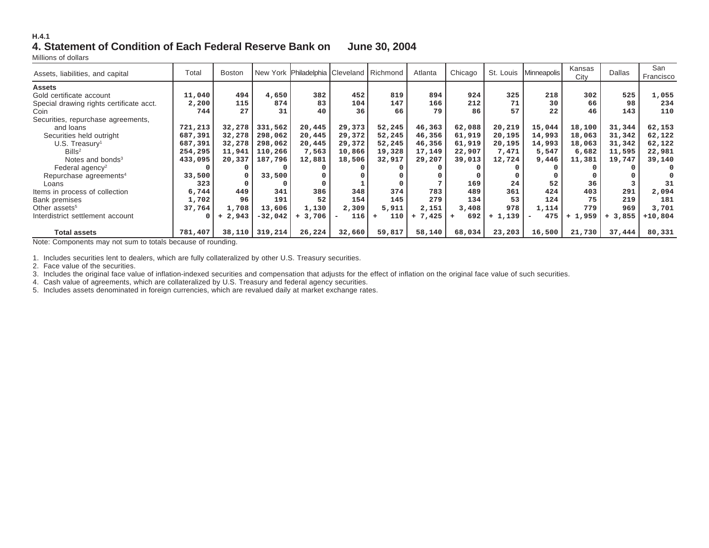#### **H.4.14. Statement of Condition of Each Federal Reserve Bank on June 30, 2004**

Millions of dollars

| Assets, liabilities, and capital         | Total   | <b>Boston</b> |           | New York Philadelphia Cleveland Richmond |                                 |            | Atlanta   | Chicago |          | St. Louis   Minneapolis | Kansas<br>City | <b>Dallas</b> | San<br>Francisco |
|------------------------------------------|---------|---------------|-----------|------------------------------------------|---------------------------------|------------|-----------|---------|----------|-------------------------|----------------|---------------|------------------|
| <b>Assets</b>                            |         |               |           |                                          |                                 |            |           |         |          |                         |                |               |                  |
| Gold certificate account                 | 11,040  | 494           | 4,650     | 382                                      | 452                             | 819        | 894       | 924     | 325      | 218                     | 302            | 525           | 1,055            |
| Special drawing rights certificate acct. | 2,200   | 115           | 874       | 83                                       | 104                             | 147        | 166       | 212     | 71       | 30                      | 66             | 98            | 234              |
| Coin                                     | 744     | 27            | 31        | 40                                       | 36                              | 66         | 79        | 86      | 57       | 22                      | 46             | 143           | 110              |
| Securities, repurchase agreements,       |         |               |           |                                          |                                 |            |           |         |          |                         |                |               |                  |
| and loans                                | 721,213 | 32,278        | 331,562   | 20,445                                   | 29,373                          | 52,245     | 46,363    | 62,088  | 20,219   | 15,044                  | 18,100         | 31,344        | 62,153           |
| Securities held outright                 | 687,391 | 32,278        | 298,062   | 20,445                                   | 29,372                          | 52,245     | 46,356    | 61,919  | 20,195   | 14,993                  | 18,063         | 31,342        | 62,122           |
| $U.S.$ Treasury <sup>1</sup>             | 687,391 | 32,278        | 298,062   | 20,445                                   | 29,372                          | 52,245     | 46,356    | 61,919  | 20,195   | 14,993                  | 18,063         | 31,342        | 62,122           |
| Bills <sup>2</sup>                       | 254,295 | 11,941        | 110,266   | 7,563                                    | 10,866                          | 19,328     | 17,149    | 22,907  | 7,471    | 5,547                   | 6,682          | 11,595        | 22,981           |
| Notes and bonds <sup>3</sup>             | 433,095 | 20,337        | 187,796   | 12,881                                   | 18,506                          | 32,917     | 29,207    | 39,013  | 12,724   | 9,446                   | 11,381         | 19,747        | 39,140           |
| Federal agency <sup>2</sup>              | n       |               |           |                                          |                                 |            |           |         |          |                         |                |               |                  |
| Repurchase agreements <sup>4</sup>       | 33,500  |               | 33,500    |                                          |                                 |            |           |         |          |                         |                |               |                  |
| Loans                                    | 323     |               |           |                                          |                                 |            |           | 169     | 24       | 52                      | 36             |               | 31               |
| Items in process of collection           | 6,744   | 449           | 341       | 386                                      | 348                             | 374        | 783       | 489     | 361      | 424                     | 403            | 291           | 2,094            |
| Bank premises                            | 1,702   | 96            | 191       | 52                                       | 154                             | 145        | 279       | 134     | 53       | 124                     | 75             | 219           | 181              |
| Other assets <sup>5</sup>                | 37,764  | 1,708         | 13,606    | 1,130                                    | 2,309                           | 5,911      | 2,151     | 3,408   | 978      | 1,114                   | 779            | 969           | 3,701            |
| Interdistrict settlement account         | 0       | 2,943         | $-32,042$ | $+3,706$                                 | 116<br>$\overline{\phantom{a}}$ | 110<br>$+$ | $+ 7,425$ | 692     | $+1,139$ | 475                     | 1,959<br>$+$   | $+3,855$      | $+10,804$        |
|                                          |         |               |           |                                          |                                 |            |           |         |          |                         |                |               |                  |
| <b>Total assets</b>                      | 781,407 | 38,110        | 319,214   | 26,224                                   | 32,660                          | 59,817     | 58,140    | 68,034  | 23,203   | 16,500                  | 21,730         | 37,444        | 80,331           |

Note: Components may not sum to totals because of rounding.

1. Includes securities lent to dealers, which are fully collateralized by other U.S. Treasury securities.

2. Face value of the securities.

3. Includes the original face value of inflation-indexed securities and compensation that adjusts for the effect of inflation on the original face value of such securities.

4. Cash value of agreements, which are collateralized by U.S. Treasury and federal agency securities.

5. Includes assets denominated in foreign currencies, which are revalued daily at market exchange rates.